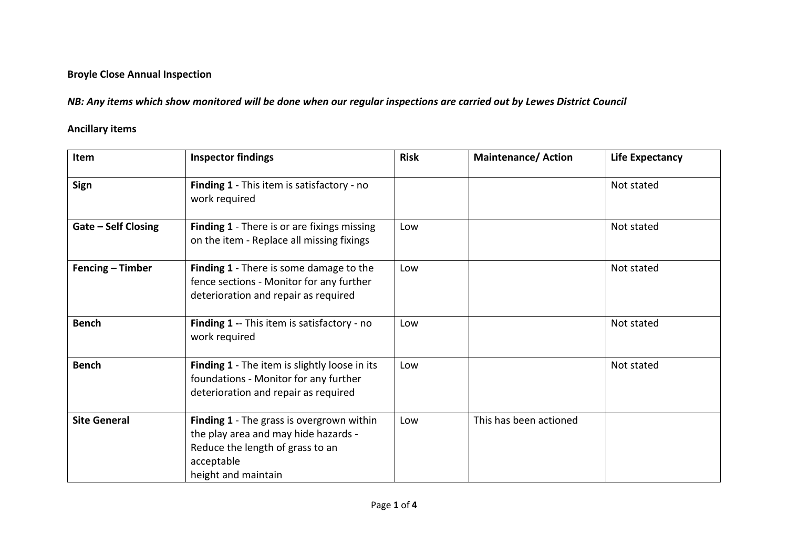## **Broyle Close Annual Inspection**

*NB: Any items which show monitored will be done when our regular inspections are carried out by Lewes District Council*

## **Ancillary items**

| Item                       | <b>Inspector findings</b>                                                                                                                                  | <b>Risk</b> | <b>Maintenance/Action</b> | <b>Life Expectancy</b> |
|----------------------------|------------------------------------------------------------------------------------------------------------------------------------------------------------|-------------|---------------------------|------------------------|
| Sign                       | Finding 1 - This item is satisfactory - no<br>work required                                                                                                |             |                           | Not stated             |
| <b>Gate - Self Closing</b> | <b>Finding 1</b> - There is or are fixings missing<br>on the item - Replace all missing fixings                                                            | Low         |                           | Not stated             |
| Fencing – Timber           | <b>Finding 1</b> - There is some damage to the<br>fence sections - Monitor for any further<br>deterioration and repair as required                         | Low         |                           | Not stated             |
| <b>Bench</b>               | Finding 1 -- This item is satisfactory - no<br>work required                                                                                               | Low         |                           | Not stated             |
| <b>Bench</b>               | Finding 1 - The item is slightly loose in its<br>foundations - Monitor for any further<br>deterioration and repair as required                             | Low         |                           | Not stated             |
| <b>Site General</b>        | Finding 1 - The grass is overgrown within<br>the play area and may hide hazards -<br>Reduce the length of grass to an<br>acceptable<br>height and maintain | Low         | This has been actioned    |                        |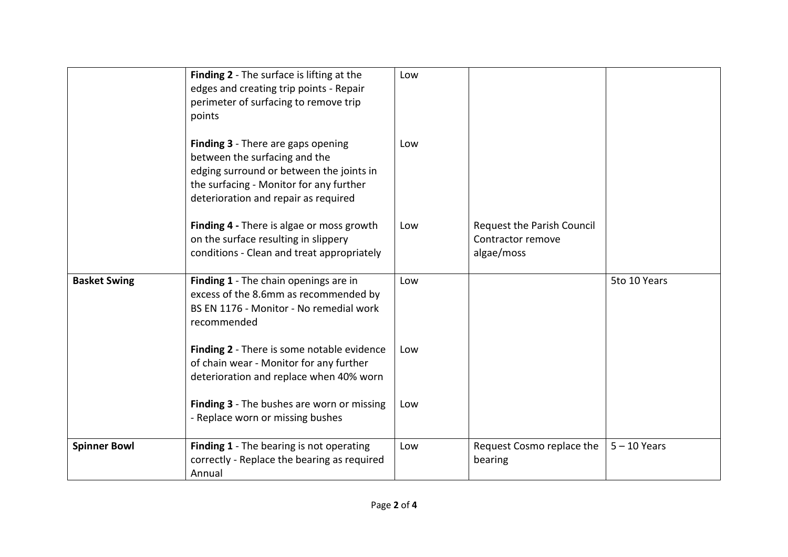|                     | Finding 2 - The surface is lifting at the<br>edges and creating trip points - Repair<br>perimeter of surfacing to remove trip<br>points                                                            | Low |                                                               |                |
|---------------------|----------------------------------------------------------------------------------------------------------------------------------------------------------------------------------------------------|-----|---------------------------------------------------------------|----------------|
|                     | Finding 3 - There are gaps opening<br>between the surfacing and the<br>edging surround or between the joints in<br>the surfacing - Monitor for any further<br>deterioration and repair as required | Low |                                                               |                |
|                     | Finding 4 - There is algae or moss growth<br>on the surface resulting in slippery<br>conditions - Clean and treat appropriately                                                                    | Low | Request the Parish Council<br>Contractor remove<br>algae/moss |                |
| <b>Basket Swing</b> | Finding 1 - The chain openings are in<br>excess of the 8.6mm as recommended by<br>BS EN 1176 - Monitor - No remedial work<br>recommended                                                           | Low |                                                               | 5to 10 Years   |
|                     | Finding 2 - There is some notable evidence<br>of chain wear - Monitor for any further<br>deterioration and replace when 40% worn                                                                   | Low |                                                               |                |
|                     | Finding 3 - The bushes are worn or missing<br>- Replace worn or missing bushes                                                                                                                     | Low |                                                               |                |
| <b>Spinner Bowl</b> | Finding 1 - The bearing is not operating<br>correctly - Replace the bearing as required<br>Annual                                                                                                  | Low | Request Cosmo replace the<br>bearing                          | $5 - 10$ Years |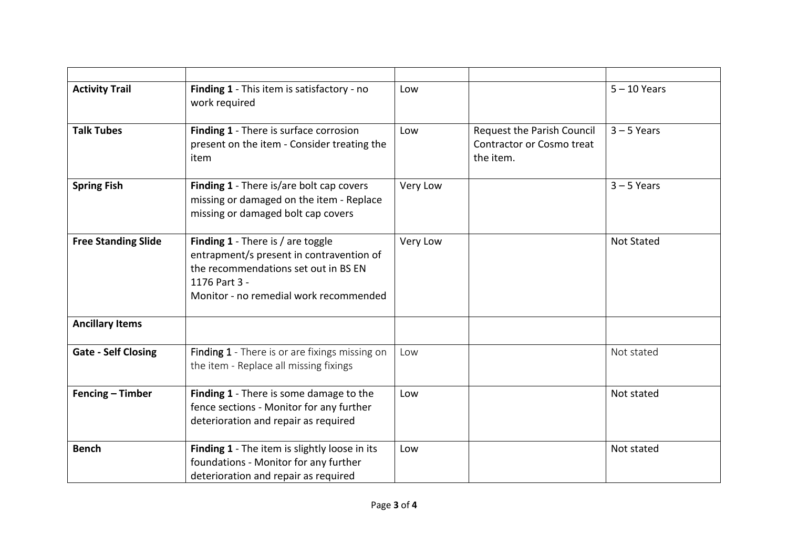| <b>Activity Trail</b>      | Finding 1 - This item is satisfactory - no<br>work required                                                                                                                      | Low      |                                                                      | $5 - 10$ Years    |
|----------------------------|----------------------------------------------------------------------------------------------------------------------------------------------------------------------------------|----------|----------------------------------------------------------------------|-------------------|
| <b>Talk Tubes</b>          | Finding 1 - There is surface corrosion<br>present on the item - Consider treating the<br>item                                                                                    | Low      | Request the Parish Council<br>Contractor or Cosmo treat<br>the item. | $3 - 5$ Years     |
| <b>Spring Fish</b>         | Finding 1 - There is/are bolt cap covers<br>missing or damaged on the item - Replace<br>missing or damaged bolt cap covers                                                       | Very Low |                                                                      | $3 - 5$ Years     |
| <b>Free Standing Slide</b> | Finding 1 - There is / are toggle<br>entrapment/s present in contravention of<br>the recommendations set out in BS EN<br>1176 Part 3 -<br>Monitor - no remedial work recommended | Very Low |                                                                      | <b>Not Stated</b> |
| <b>Ancillary Items</b>     |                                                                                                                                                                                  |          |                                                                      |                   |
| <b>Gate - Self Closing</b> | Finding 1 - There is or are fixings missing on<br>the item - Replace all missing fixings                                                                                         | Low      |                                                                      | Not stated        |
| Fencing - Timber           | Finding 1 - There is some damage to the<br>fence sections - Monitor for any further<br>deterioration and repair as required                                                      | Low      |                                                                      | Not stated        |
| <b>Bench</b>               | Finding 1 - The item is slightly loose in its<br>foundations - Monitor for any further<br>deterioration and repair as required                                                   | Low      |                                                                      | Not stated        |